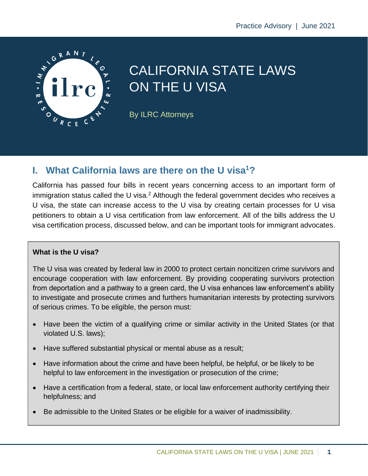

# CALIFORNIA STATE LAWS ON THE U VISA

By ILRC Attorneys

### **I. What California laws are there on the U visa<sup>1</sup>?**

California has passed four bills in recent years concerning access to an important form of immigration status called the U visa.<sup>2</sup> Although the federal government decides who receives a U visa, the state can increase access to the U visa by creating certain processes for U visa petitioners to obtain a U visa certification from law enforcement. All of the bills address the U visa certification process, discussed below, and can be important tools for immigrant advocates.

#### **What is the U visa?**

The U visa was created by federal law in 2000 to protect certain noncitizen crime survivors and encourage cooperation with law enforcement. By providing cooperating survivors protection from deportation and a pathway to a green card, the U visa enhances law enforcement's ability to investigate and prosecute crimes and furthers humanitarian interests by protecting survivors of serious crimes. To be eligible, the person must:

- Have been the victim of a qualifying crime or similar activity in the United States (or that violated U.S. laws);
- Have suffered substantial physical or mental abuse as a result;
- Have information about the crime and have been helpful, be helpful, or be likely to be helpful to law enforcement in the investigation or prosecution of the crime;
- Have a certification from a federal, state, or local law enforcement authority certifying their helpfulness; and
- Be admissible to the United States or be eligible for a waiver of inadmissibility.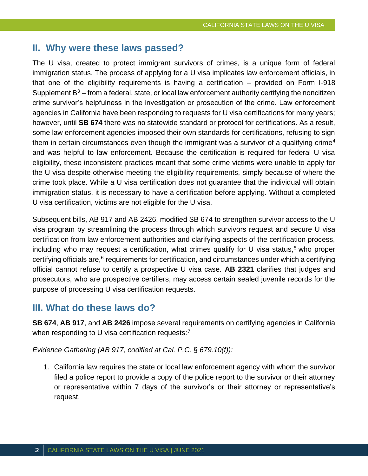#### **II. Why were these laws passed?**

The U visa, created to protect immigrant survivors of crimes, is a unique form of federal immigration status. The process of applying for a U visa implicates law enforcement officials, in that one of the eligibility requirements is having a certification – provided on Form I-918 Supplement  $B<sup>3</sup>$  – from a federal, state, or local law enforcement authority certifying the noncitizen crime survivor's helpfulness in the investigation or prosecution of the crime. Law enforcement agencies in California have been responding to requests for U visa certifications for many years; however, until **SB 674** there was no statewide standard or protocol for certifications. As a result, some law enforcement agencies imposed their own standards for certifications, refusing to sign them in certain circumstances even though the immigrant was a survivor of a qualifying crime<sup>4</sup> and was helpful to law enforcement. Because the certification is required for federal U visa eligibility, these inconsistent practices meant that some crime victims were unable to apply for the U visa despite otherwise meeting the eligibility requirements, simply because of where the crime took place. While a U visa certification does not guarantee that the individual will obtain immigration status, it is necessary to have a certification before applying. Without a completed U visa certification, victims are not eligible for the U visa.

Subsequent bills, AB 917 and AB 2426, modified SB 674 to strengthen survivor access to the U visa program by streamlining the process through which survivors request and secure U visa certification from law enforcement authorities and clarifying aspects of the certification process, including who may request a certification, what crimes qualify for  $U$  visa status,<sup>5</sup> who proper certifying officials are,<sup>6</sup> requirements for certification, and circumstances under which a certifying official cannot refuse to certify a prospective U visa case. **AB 2321** clarifies that judges and prosecutors, who are prospective certifiers, may access certain sealed juvenile records for the purpose of processing U visa certification requests.

### **III. What do these laws do?**

**SB 674**, **AB 917**, and **AB 2426** impose several requirements on certifying agencies in California when responding to U visa certification requests: $<sup>7</sup>$ </sup>

*Evidence Gathering (AB 917, codified at Cal. P.C.* § *679.10(f)):*

1. California law requires the state or local law enforcement agency with whom the survivor filed a police report to provide a copy of the police report to the survivor or their attorney or representative within 7 days of the survivor's or their attorney or representative's request.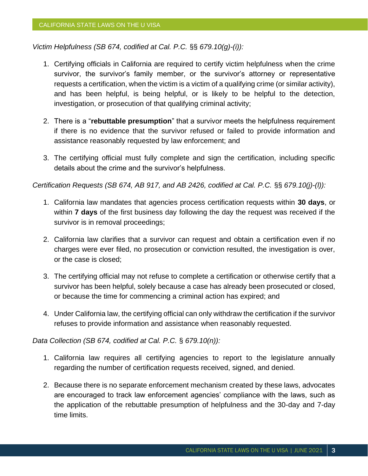*Victim Helpfulness (SB 674, codified at Cal. P.C.* §§ *679.10(g)-(i)):*

- 1. Certifying officials in California are required to certify victim helpfulness when the crime survivor, the survivor's family member, or the survivor's attorney or representative requests a certification, when the victim is a victim of a qualifying crime (or similar activity), and has been helpful, is being helpful, or is likely to be helpful to the detection, investigation, or prosecution of that qualifying criminal activity;
- 2. There is a "**rebuttable presumption**" that a survivor meets the helpfulness requirement if there is no evidence that the survivor refused or failed to provide information and assistance reasonably requested by law enforcement; and
- 3. The certifying official must fully complete and sign the certification, including specific details about the crime and the survivor's helpfulness.

*Certification Requests (SB 674, AB 917, and AB 2426, codified at Cal. P.C.* §§ *679.10(j)-(l)):*

- 1. California law mandates that agencies process certification requests within **30 days**, or within **7 days** of the first business day following the day the request was received if the survivor is in removal proceedings;
- 2. California law clarifies that a survivor can request and obtain a certification even if no charges were ever filed, no prosecution or conviction resulted, the investigation is over, or the case is closed;
- 3. The certifying official may not refuse to complete a certification or otherwise certify that a survivor has been helpful, solely because a case has already been prosecuted or closed, or because the time for commencing a criminal action has expired; and
- 4. Under California law, the certifying official can only withdraw the certification if the survivor refuses to provide information and assistance when reasonably requested.

*Data Collection (SB 674, codified at Cal. P.C.* § *679.10(n)):*

- 1. California law requires all certifying agencies to report to the legislature annually regarding the number of certification requests received, signed, and denied.
- 2. Because there is no separate enforcement mechanism created by these laws, advocates are encouraged to track law enforcement agencies' compliance with the laws, such as the application of the rebuttable presumption of helpfulness and the 30-day and 7-day time limits.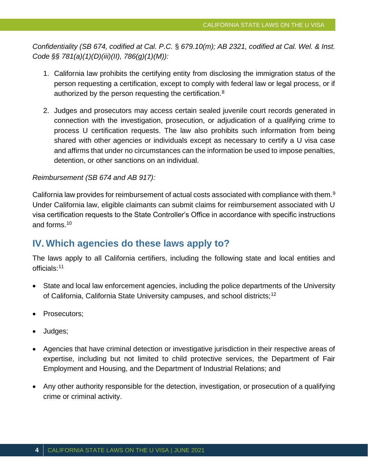*Confidentiality (SB 674, codified at Cal. P.C.* § *679.10(m); AB 2321, codified at Cal. Wel. & Inst. Code §§ 781(a)(1)(D)(iii)(II), 786(g)(1)(M)):*

- 1. California law prohibits the certifying entity from disclosing the immigration status of the person requesting a certification, except to comply with federal law or legal process, or if authorized by the person requesting the certification.<sup>8</sup>
- 2. Judges and prosecutors may access certain sealed juvenile court records generated in connection with the investigation, prosecution, or adjudication of a qualifying crime to process U certification requests. The law also prohibits such information from being shared with other agencies or individuals except as necessary to certify a U visa case and affirms that under no circumstances can the information be used to impose penalties, detention, or other sanctions on an individual.

#### *Reimbursement (SB 674 and AB 917):*

California law provides for reimbursement of actual costs associated with compliance with them.<sup>9</sup> Under California law, eligible claimants can submit claims for reimbursement associated with U visa certification requests to the State Controller's Office in accordance with specific instructions and forms.<sup>10</sup>

## **IV. Which agencies do these laws apply to?**

The laws apply to all California certifiers, including the following state and local entities and officials:<sup>11</sup>

- State and local law enforcement agencies, including the police departments of the University of California, California State University campuses, and school districts;<sup>12</sup>
- Prosecutors;
- Judges;
- Agencies that have criminal detection or investigative jurisdiction in their respective areas of expertise, including but not limited to child protective services, the Department of Fair Employment and Housing, and the Department of Industrial Relations; and
- Any other authority responsible for the detection, investigation, or prosecution of a qualifying crime or criminal activity.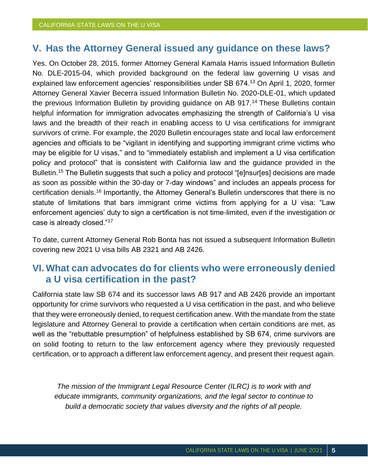### **V. Has the Attorney General issued any guidance on these laws?**

Yes. On October 28, 2015, former Attorney General Kamala Harris issued Information Bulletin No. DLE-2015-04, which provided background on the federal law governing U visas and explained law enforcement agencies' responsibilities under SB 674.<sup>13</sup> On April 1, 2020, former Attorney General Xavier Becerra issued Information Bulletin No. 2020-DLE-01, which updated the previous Information Bulletin by providing guidance on AB 917.<sup>14</sup> These Bulletins contain helpful information for immigration advocates emphasizing the strength of California's U visa laws and the breadth of their reach in enabling access to U visa certifications for immigrant survivors of crime. For example, the 2020 Bulletin encourages state and local law enforcement agencies and officials to be "vigilant in identifying and supporting immigrant crime victims who may be eligible for U visas," and to "immediately establish and implement a U visa certification policy and protocol" that is consistent with California law and the guidance provided in the Bulletin.<sup>15</sup> The Bulletin suggests that such a policy and protocol "[e]nsur[es] decisions are made as soon as possible within the 30-day or 7-day windows" and includes an appeals process for certification denials.<sup>16</sup> Importantly, the Attorney General's Bulletin underscores that there is no statute of limitations that bars immigrant crime victims from applying for a U visa: "Law enforcement agencies' duty to sign a certification is not time-limited, even if the investigation or case is already closed."<sup>17</sup>

To date, current Attorney General Rob Bonta has not issued a subsequent Information Bulletin covering new 2021 U visa bills AB 2321 and AB 2426.

### **VI. What can advocates do for clients who were erroneously denied a U visa certification in the past?**

California state law SB 674 and its successor laws AB 917 and AB 2426 provide an important opportunity for crime survivors who requested a U visa certification in the past, and who believe that they were erroneously denied, to request certification anew. With the mandate from the state legislature and Attorney General to provide a certification when certain conditions are met, as well as the "rebuttable presumption" of helpfulness established by SB 674, crime survivors are on solid footing to return to the law enforcement agency where they previously requested certification, or to approach a different law enforcement agency, and present their request again.

*The mission of the Immigrant Legal Resource Center (ILRC) is to work with and educate immigrants, community organizations, and the legal sector to continue to build a democratic society that values diversity and the rights of all people.*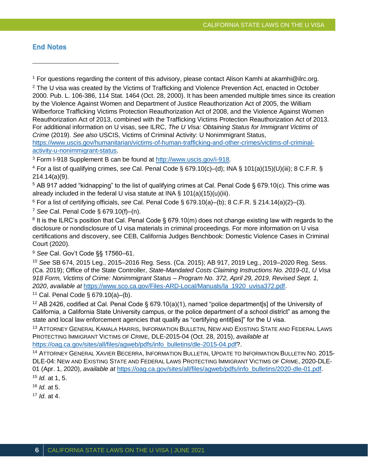#### **End Notes**

<sup>1</sup> For questions regarding the content of this advisory, please contact Alison Kamhi at akamhi@ilrc.org. <sup>2</sup> The U visa was created by the Victims of Trafficking and Violence Prevention Act, enacted in October

2000. Pub. L. 106-386, 114 Stat. 1464 (Oct. 28, 2000). It has been amended multiple times since its creation by the Violence Against Women and Department of Justice Reauthorization Act of 2005, the William Wilberforce Trafficking Victims Protection Reauthorization Act of 2008, and the Violence Against Women Reauthorization Act of 2013, combined with the Trafficking Victims Protection Reauthorization Act of 2013. For additional information on U visas, see ILRC, *The U Visa: Obtaining Status for Immigrant Victims of Crime* (2019). *See also* USCIS, Victims of Criminal Activity: U Nonimmigrant Status,

[https://www.uscis.gov/humanitarian/victims-of-human-trafficking-and-other-crimes/victims-of-criminal](https://www.uscis.gov/humanitarian/victims-of-human-trafficking-and-other-crimes/victims-of-criminal-activity-u-nonimmigrant-status)[activity-u-nonimmigrant-status.](https://www.uscis.gov/humanitarian/victims-of-human-trafficking-and-other-crimes/victims-of-criminal-activity-u-nonimmigrant-status)

<sup>3</sup> Form I-918 Supplement B can be found at [http://www.uscis.gov/i-918.](http://www.uscis.gov/i-918)

<sup>4</sup> For a list of qualifying crimes, *see* Cal. Penal Code § 679.10(c)–(d); INA § 101(a)(15)(U)(iii); 8 C.F.R. § 214.14(a)(9).

<sup>5</sup> AB 917 added "kidnapping" to the list of qualifying crimes at Cal. Penal Code § 679.10(c). This crime was already included in the federal U visa statute at INA § 101(a)(15)(u)(iii).

<sup>6</sup> For a list of certifying officials, *see* Cal. Penal Code § 679.10(a)–(b); 8 C.F.R. § 214.14(a)(2)–(3).

<sup>7</sup> *See* Cal. Penal Code § 679.10(f)–(n).

 $8$  It is the ILRC's position that Cal. Penal Code § 679.10(m) does not change existing law with regards to the disclosure or nondisclosure of U visa materials in criminal proceedings. For more information on U visa certifications and discovery, see CEB, California Judges Benchbook: Domestic Violence Cases in Criminal Court (2020).

<sup>9</sup> *See* Cal. Gov't Code §§ 17560–61.

<sup>10</sup> *See* SB 674, 2015 Leg., 2015–2016 Reg. Sess. (Ca. 2015); AB 917, 2019 Leg., 2019–2020 Reg. Sess. (Ca. 2019); Office of the State Controller, *State-Mandated Costs Claiming Instructions No. 2019-01, U Visa 918 Form, Victims of Crime: Nonimmigrant Status – Program No. 372, April 29, 2019, Revised Sept. 1, 2020*, *available at* [https://www.sco.ca.gov/Files-ARD-Local/Manuals/la\\_1920\\_uvisa372.pdf.](https://www.sco.ca.gov/Files-ARD-Local/Manuals/la_1920_uvisa372.pdf)

 $11$  Cal. Penal Code § 679.10(a)–(b).

<sup>12</sup> AB 2426, codified at Cal. Penal Code § 679.10(a)(1), named "police department[s] of the University of California, a California State University campus, or the police department of a school district" as among the state and local law enforcement agencies that qualify as "certifying entit[ies]" for the U visa.

<sup>13</sup> ATTORNEY GENERAL KAMALA HARRIS, INFORMATION BULLETIN, NEW AND EXISTING STATE AND FEDERAL LAWS PROTECTING IMMIGRANT VICTIMS OF CRIME, DLE-2015-04 (Oct. 28, 2015), *available at* [https://oag.ca.gov/sites/all/files/agweb/pdfs/info\\_bulletins/dle-2015-04.pdf?](https://oag.ca.gov/sites/all/files/agweb/pdfs/info_bulletins/dle-2015-04.pdf).

<sup>14</sup> ATTORNEY GENERAL XAVIER BECERRA, INFORMATION BULLETIN, UPDATE TO INFORMATION BULLETIN NO. 2015- DLE-04: NEW AND EXISTING STATE AND FEDERAL LAWS PROTECTING IMMIGRANT VICTIMS OF CRIME, 2020-DLE-01 (Apr. 1, 2020), *available at* [https://oag.ca.gov/sites/all/files/agweb/pdfs/info\\_bulletins/2020-dle-01.pdf.](https://oag.ca.gov/sites/all/files/agweb/pdfs/info_bulletins/2020-dle-01.pdf)

<sup>15</sup> *Id.* at 1, 5.

<sup>16</sup> *Id.* at 5.

<sup>17</sup> *Id.* at 4.